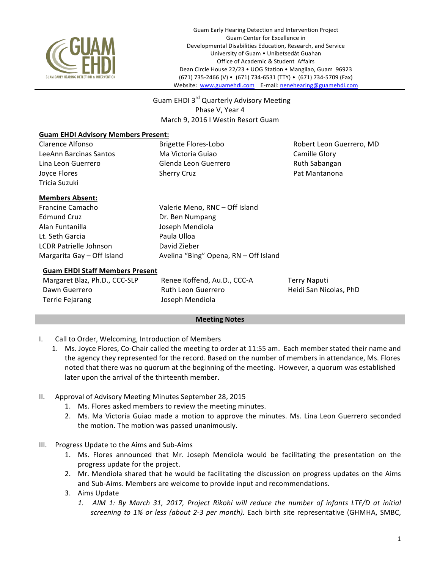

Guam Early Hearing Detection and Intervention Project Guam Center for Excellence in Developmental Disabilities Education, Research, and Service University of Guam • Unibetsedåt Guahan Office of Academic & Student Affairs Dean Circle House 22/23 • UOG Station • Mangilao, Guam 96923 (671) 735-2466 (V) • (671) 734-6531 (TTY) • (671) 734-5709 (Fax) Website: www.guamehdi.com E-mail: nenehearing@guamehdi.com

Guam EHDI 3<sup>rd</sup> Quarterly Advisory Meeting Phase V, Year 4 March 9, 2016 I Westin Resort Guam

## **Guam EHDI Advisory Members Present:**

LeeAnn Barcinas Santos **Ma** Victoria Guiao Camille Glory Lina Leon Guerrero **Glenda** Leon Guerrero Ruth Sabangan Joyce Flores **Sherry Cruz Cruz Access Pat Mantanona** Tricia Suzuki

Clarence Alfonso **Brigette Flores-Lobo Brigette Flores-Lobo** Robert Leon Guerrero, MD

## **Members Absent:**

Edmund Cruz **Dr.** Ben Numpang Alan Funtanilla **Alan** Joseph Mendiola Lt. Seth Garcia **Paula Ulloa** LCDR Patrielle Johnson David Zieber

Francine Camacho Valerie Meno, RNC – Off Island Margarita Gay – Off Island **Avelina** "Bing" Opena, RN – Off Island

### **Guam EHDI Staff Members Present**

Terrie Fejarang **Mendiola** Joseph Mendiola

Margaret Blaz, Ph.D., CCC-SLP Renee Koffend, Au.D., CCC-A Terry Naputi Dawn Guerrero **Ruth Leon Guerrero Ruth Leon Guerrero** Heidi San Nicolas, PhD

#### **Meeting Notes**

- I. Call to Order, Welcoming, Introduction of Members
	- 1. Ms. Joyce Flores, Co-Chair called the meeting to order at 11:55 am. Each member stated their name and the agency they represented for the record. Based on the number of members in attendance, Ms. Flores noted that there was no quorum at the beginning of the meeting. However, a quorum was established later upon the arrival of the thirteenth member.
- II. Approval of Advisory Meeting Minutes September 28, 2015
	- 1. Ms. Flores asked members to review the meeting minutes.
	- 2. Ms. Ma Victoria Guiao made a motion to approve the minutes. Ms. Lina Leon Guerrero seconded the motion. The motion was passed unanimously.
- III. Progress Update to the Aims and Sub-Aims
	- 1. Ms. Flores announced that Mr. Joseph Mendiola would be facilitating the presentation on the progress update for the project.
	- 2. Mr. Mendiola shared that he would be facilitating the discussion on progress updates on the Aims and Sub-Aims. Members are welcome to provide input and recommendations.
	- 3. Aims Update
		- 1. AIM 1: By March 31, 2017, Project Rikohi will reduce the number of infants LTF/D at initial screening to 1% or less (about 2-3 per month). Each birth site representative (GHMHA, SMBC,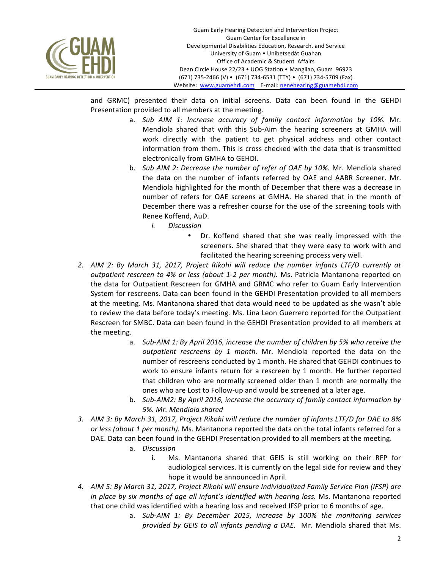

and GRMC) presented their data on initial screens. Data can been found in the GEHDI Presentation provided to all members at the meeting.

- a. *Sub AIM 1: Increase accuracy of family contact information by 10%.* Mr. Mendiola shared that with this Sub-Aim the hearing screeners at GMHA will work directly with the patient to get physical address and other contact information from them. This is cross checked with the data that is transmitted electronically from GMHA to GEHDI.
- b. *Sub AIM 2: Decrease the number of refer of OAE by 10%.* Mr. Mendiola shared the data on the number of infants referred by OAE and AABR Screener. Mr. Mendiola highlighted for the month of December that there was a decrease in number of refers for OAE screens at GMHA. He shared that in the month of December there was a refresher course for the use of the screening tools with Renee Koffend, AuD.
	- *i. Discussion*
		- Dr. Koffend shared that she was really impressed with the screeners. She shared that they were easy to work with and facilitated the hearing screening process very well.
- 2. AIM 2: By March 31, 2017, Project Rikohi will reduce the number infants LTF/D currently at *outpatient rescreen to 4% or less (about 1-2 per month).* Ms. Patricia Mantanona reported on the data for Outpatient Rescreen for GMHA and GRMC who refer to Guam Early Intervention System for rescreens. Data can been found in the GEHDI Presentation provided to all members at the meeting. Ms. Mantanona shared that data would need to be updated as she wasn't able to review the data before today's meeting. Ms. Lina Leon Guerrero reported for the Outpatient Rescreen for SMBC. Data can been found in the GEHDI Presentation provided to all members at the meeting.
	- a. *Sub-AIM 1: By April 2016, increase the number of children by 5% who receive the* outpatient rescreens by 1 month. Mr. Mendiola reported the data on the number of rescreens conducted by 1 month. He shared that GEHDI continues to work to ensure infants return for a rescreen by 1 month. He further reported that children who are normally screened older than 1 month are normally the ones who are Lost to Follow-up and would be screened at a later age.
	- b. Sub-AIM2: By April 2016, increase the accuracy of family contact information by *5%. Mr. Mendiola shared*
- 3. AIM 3: By March 31, 2017, Project Rikohi will reduce the number of infants LTF/D for DAE to 8% *or* less *(about 1 per month).* Ms. Mantanona reported the data on the total infants referred for a DAE. Data can been found in the GEHDI Presentation provided to all members at the meeting.
	- a. *Discussion* 
		- i. Ms. Mantanona shared that GEIS is still working on their RFP for audiological services. It is currently on the legal side for review and they hope it would be announced in April.
- *4. AIM 5: By March 31, 2017, Project Rikohi will ensure Individualized Family Service Plan (IFSP) are in* place by six months of age all infant's identified with hearing loss. Ms. Mantanona reported that one child was identified with a hearing loss and received IFSP prior to 6 months of age.
	- a. Sub-AIM 1: By December 2015, increase by 100% the monitoring services *provided by GEIS to all infants pending a DAE.* Mr. Mendiola shared that Ms.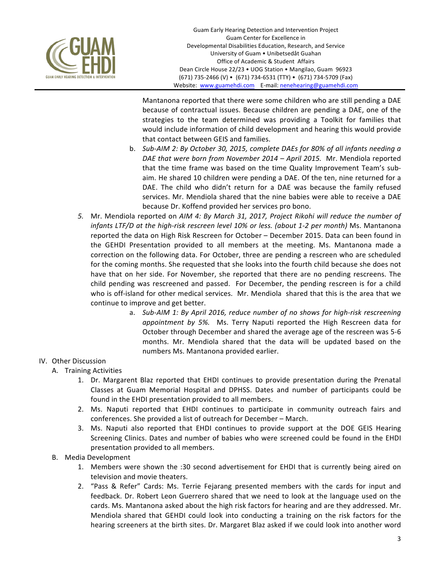

Mantanona reported that there were some children who are still pending a DAE because of contractual issues. Because children are pending a DAE, one of the strategies to the team determined was providing a Toolkit for families that would include information of child development and hearing this would provide that contact between GEIS and families.

- b. Sub-AIM 2: By October 30, 2015, complete DAEs for 80% of all infants needing a *DAE* that were born from November 2014 – April 2015. Mr. Mendiola reported that the time frame was based on the time Quality Improvement Team's subaim. He shared 10 children were pending a DAE. Of the ten, nine returned for a DAE. The child who didn't return for a DAE was because the family refused services. Mr. Mendiola shared that the nine babies were able to receive a DAE because Dr. Koffend provided her services pro bono.
- 5. Mr. Mendiola reported on *AIM 4: By March 31, 2017, Project Rikohi will reduce the number of infants LTF/D* at the high-risk rescreen level 10% or less. (about 1-2 per month) Ms. Mantanona reported the data on High Risk Rescreen for October - December 2015. Data can been found in the GEHDI Presentation provided to all members at the meeting. Ms. Mantanona made a correction on the following data. For October, three are pending a rescreen who are scheduled for the coming months. She requested that she looks into the fourth child because she does not have that on her side. For November, she reported that there are no pending rescreens. The child pending was rescreened and passed. For December, the pending rescreen is for a child who is off-island for other medical services. Mr. Mendiola shared that this is the area that we continue to improve and get better.
	- a. *Sub-AIM* 1: By April 2016, reduce number of no shows for high-risk rescreening *appointment by 5%.* Ms. Terry Naputi reported the High Rescreen data for October through December and shared the average age of the rescreen was 5-6 months. Mr. Mendiola shared that the data will be updated based on the numbers Ms. Mantanona provided earlier.

# IV. Other Discussion

- A. Training Activities
	- 1. Dr. Margarent Blaz reported that EHDI continues to provide presentation during the Prenatal Classes at Guam Memorial Hospital and DPHSS. Dates and number of participants could be found in the EHDI presentation provided to all members.
	- 2. Ms. Naputi reported that EHDI continues to participate in community outreach fairs and conferences. She provided a list of outreach for December - March.
	- 3. Ms. Naputi also reported that EHDI continues to provide support at the DOE GEIS Hearing Screening Clinics. Dates and number of babies who were screened could be found in the EHDI presentation provided to all members.
- B. Media Development
	- 1. Members were shown the :30 second advertisement for EHDI that is currently being aired on television and movie theaters.
	- 2. "Pass & Refer" Cards: Ms. Terrie Fejarang presented members with the cards for input and feedback. Dr. Robert Leon Guerrero shared that we need to look at the language used on the cards. Ms. Mantanona asked about the high risk factors for hearing and are they addressed. Mr. Mendiola shared that GEHDI could look into conducting a training on the risk factors for the hearing screeners at the birth sites. Dr. Margaret Blaz asked if we could look into another word